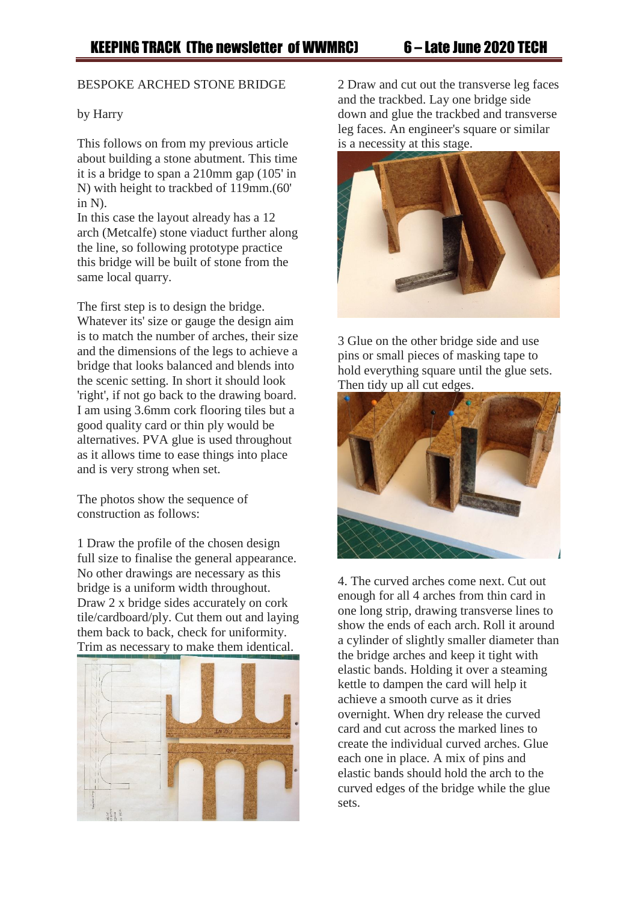## BESPOKE ARCHED STONE BRIDGE

## by Harry

This follows on from my previous article about building a stone abutment. This time it is a bridge to span a 210mm gap (105' in N) with height to trackbed of 119mm.(60' in N).

In this case the layout already has a 12 arch (Metcalfe) stone viaduct further along the line, so following prototype practice this bridge will be built of stone from the same local quarry.

The first step is to design the bridge. Whatever its' size or gauge the design aim is to match the number of arches, their size and the dimensions of the legs to achieve a bridge that looks balanced and blends into the scenic setting. In short it should look 'right', if not go back to the drawing board. I am using 3.6mm cork flooring tiles but a good quality card or thin ply would be alternatives. PVA glue is used throughout as it allows time to ease things into place and is very strong when set.

The photos show the sequence of construction as follows:

1 Draw the profile of the chosen design full size to finalise the general appearance. No other drawings are necessary as this bridge is a uniform width throughout. Draw 2 x bridge sides accurately on cork tile/cardboard/ply. Cut them out and laying them back to back, check for uniformity. Trim as necessary to make them identical.



2 Draw and cut out the transverse leg faces and the trackbed. Lay one bridge side down and glue the trackbed and transverse leg faces. An engineer's square or similar is a necessity at this stage.



3 Glue on the other bridge side and use pins or small pieces of masking tape to hold everything square until the glue sets. Then tidy up all cut edges.



4. The curved arches come next. Cut out enough for all 4 arches from thin card in one long strip, drawing transverse lines to show the ends of each arch. Roll it around a cylinder of slightly smaller diameter than the bridge arches and keep it tight with elastic bands. Holding it over a steaming kettle to dampen the card will help it achieve a smooth curve as it dries overnight. When dry release the curved card and cut across the marked lines to create the individual curved arches. Glue each one in place. A mix of pins and elastic bands should hold the arch to the curved edges of the bridge while the glue sets.